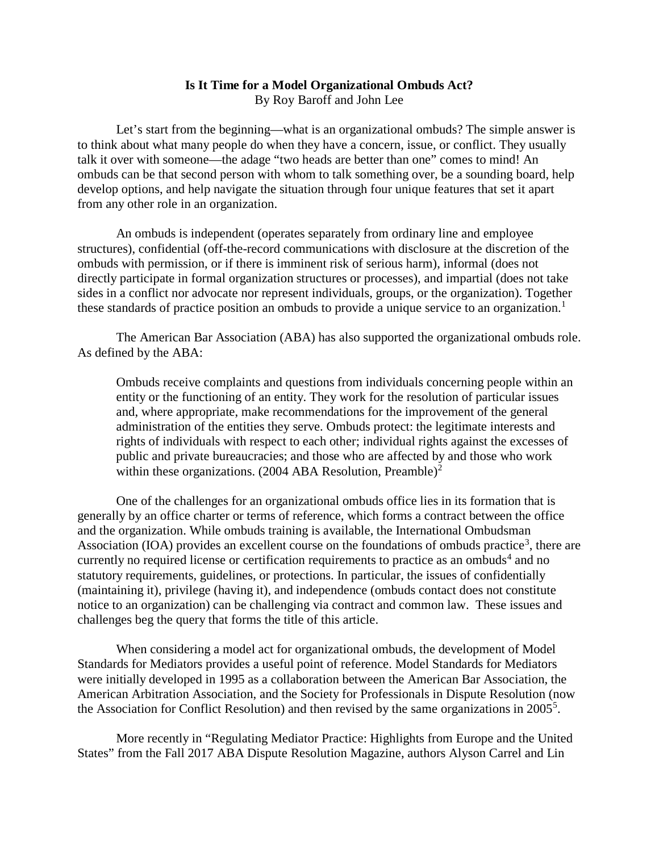## **Is It Time for a Model Organizational Ombuds Act?** By Roy Baroff and John Lee

Let's start from the beginning—what is an organizational ombuds? The simple answer is to think about what many people do when they have a concern, issue, or conflict. They usually talk it over with someone—the adage "two heads are better than one" comes to mind! An ombuds can be that second person with whom to talk something over, be a sounding board, help develop options, and help navigate the situation through four unique features that set it apart from any other role in an organization.

An ombuds is independent (operates separately from ordinary line and employee structures), confidential (off-the-record communications with disclosure at the discretion of the ombuds with permission, or if there is imminent risk of serious harm), informal (does not directly participate in formal organization structures or processes), and impartial (does not take sides in a conflict nor advocate nor represent individuals, groups, or the organization). Together these standards of practice position an ombuds to provide a unique service to an organization.<sup>[1](#page-2-0)</sup>

The American Bar Association (ABA) has also supported the organizational ombuds role. As defined by the ABA:

Ombuds receive complaints and questions from individuals concerning people within an entity or the functioning of an entity. They work for the resolution of particular issues and, where appropriate, make recommendations for the improvement of the general administration of the entities they serve. Ombuds protect: the legitimate interests and rights of individuals with respect to each other; individual rights against the excesses of public and private bureaucracies; and those who are affected by and those who work within these organizations. ([2](#page-2-1)004 ABA Resolution, Preamble)<sup>2</sup>

One of the challenges for an organizational ombuds office lies in its formation that is generally by an office charter or terms of reference, which forms a contract between the office and the organization. While ombuds training is available, the International Ombudsman Association (IOA) provides an excellent course on the foundations of ombuds practice<sup>[3](#page-3-0)</sup>, there are currently no required license or certification requirements to practice as an ombuds<sup>[4](#page-3-1)</sup> and no statutory requirements, guidelines, or protections. In particular, the issues of confidentially (maintaining it), privilege (having it), and independence (ombuds contact does not constitute notice to an organization) can be challenging via contract and common law. These issues and challenges beg the query that forms the title of this article.

When considering a model act for organizational ombuds, the development of Model Standards for Mediators provides a useful point of reference. Model Standards for Mediators were initially developed in 1995 as a collaboration between the American Bar Association, the American Arbitration Association, and the Society for Professionals in Dispute Resolution (now the Association for Conflict Resolution) and then revised by the same organizations in 200[5](#page-3-2)<sup>5</sup>.

More recently in "Regulating Mediator Practice: Highlights from Europe and the United States" from the Fall 2017 ABA Dispute Resolution Magazine, authors Alyson Carrel and Lin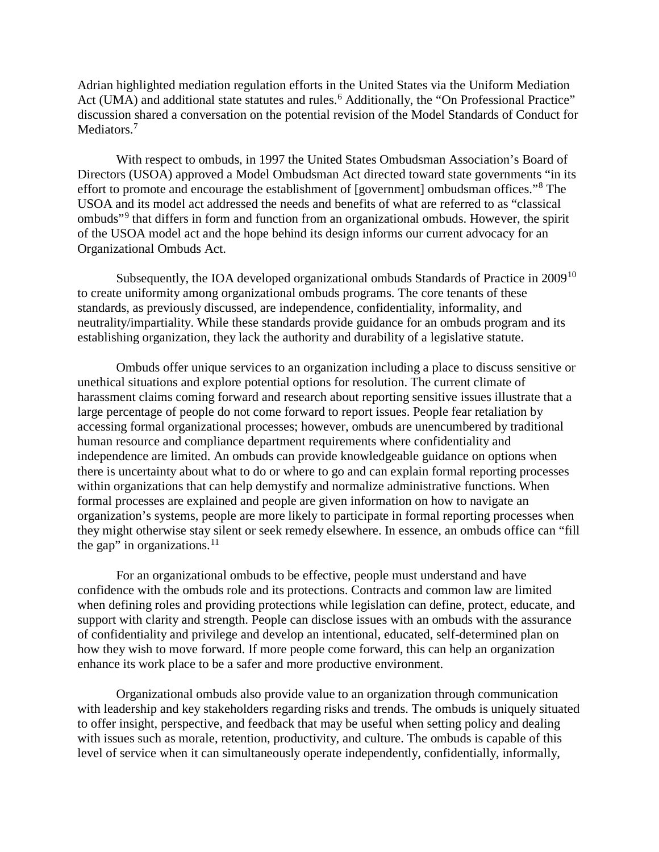Adrian highlighted mediation regulation efforts in the United States via the Uniform Mediation Act (UMA) and additional state statutes and rules.<sup>[6](#page-3-3)</sup> Additionally, the "On Professional Practice" discussion shared a conversation on the potential revision of the Model Standards of Conduct for Mediators.<sup>[7](#page-3-4)</sup>

With respect to ombuds, in 1997 the United States Ombudsman Association's Board of Directors (USOA) approved a Model Ombudsman Act directed toward state governments "in its effort to promote and encourage the establishment of [government] ombudsman offices."[8](#page-3-5) The USOA and its model act addressed the needs and benefits of what are referred to as "classical ombuds"[9](#page-3-6) that differs in form and function from an organizational ombuds. However, the spirit of the USOA model act and the hope behind its design informs our current advocacy for an Organizational Ombuds Act.

Subsequently, the IOA developed organizational ombuds Standards of Practice in 2009<sup>[10](#page-3-7)</sup> to create uniformity among organizational ombuds programs. The core tenants of these standards, as previously discussed, are independence, confidentiality, informality, and neutrality/impartiality. While these standards provide guidance for an ombuds program and its establishing organization, they lack the authority and durability of a legislative statute.

Ombuds offer unique services to an organization including a place to discuss sensitive or unethical situations and explore potential options for resolution. The current climate of harassment claims coming forward and research about reporting sensitive issues illustrate that a large percentage of people do not come forward to report issues. People fear retaliation by accessing formal organizational processes; however, ombuds are unencumbered by traditional human resource and compliance department requirements where confidentiality and independence are limited. An ombuds can provide knowledgeable guidance on options when there is uncertainty about what to do or where to go and can explain formal reporting processes within organizations that can help demystify and normalize administrative functions. When formal processes are explained and people are given information on how to navigate an organization's systems, people are more likely to participate in formal reporting processes when they might otherwise stay silent or seek remedy elsewhere. In essence, an ombuds office can "fill the gap" in organizations. $11$ 

For an organizational ombuds to be effective, people must understand and have confidence with the ombuds role and its protections. Contracts and common law are limited when defining roles and providing protections while legislation can define, protect, educate, and support with clarity and strength. People can disclose issues with an ombuds with the assurance of confidentiality and privilege and develop an intentional, educated, self-determined plan on how they wish to move forward. If more people come forward, this can help an organization enhance its work place to be a safer and more productive environment.

Organizational ombuds also provide value to an organization through communication with leadership and key stakeholders regarding risks and trends. The ombuds is uniquely situated to offer insight, perspective, and feedback that may be useful when setting policy and dealing with issues such as morale, retention, productivity, and culture. The ombuds is capable of this level of service when it can simultaneously operate independently, confidentially, informally,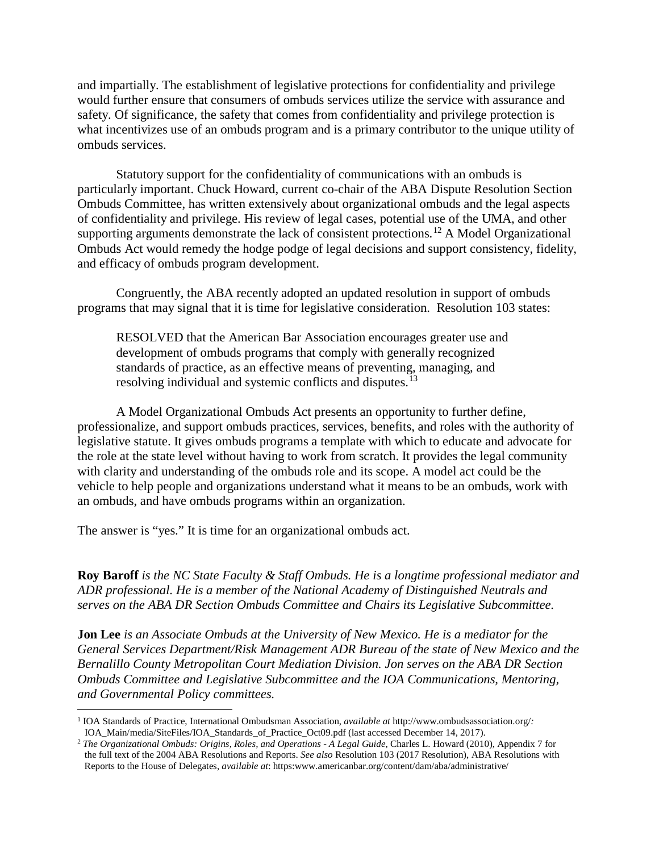and impartially. The establishment of legislative protections for confidentiality and privilege would further ensure that consumers of ombuds services utilize the service with assurance and safety. Of significance, the safety that comes from confidentiality and privilege protection is what incentivizes use of an ombuds program and is a primary contributor to the unique utility of ombuds services.

Statutory support for the confidentiality of communications with an ombuds is particularly important. Chuck Howard, current co-chair of the ABA Dispute Resolution Section Ombuds Committee, has written extensively about organizational ombuds and the legal aspects of confidentiality and privilege. His review of legal cases, potential use of the UMA, and other supporting arguments demonstrate the lack of consistent protections.<sup>12</sup> A Model Organizational Ombuds Act would remedy the hodge podge of legal decisions and support consistency, fidelity, and efficacy of ombuds program development.

Congruently, the ABA recently adopted an updated resolution in support of ombuds programs that may signal that it is time for legislative consideration. Resolution 103 states:

RESOLVED that the American Bar Association encourages greater use and development of ombuds programs that comply with generally recognized standards of practice, as an effective means of preventing, managing, and resolving individual and systemic conflicts and disputes.<sup>[13](#page-3-10)</sup>

A Model Organizational Ombuds Act presents an opportunity to further define, professionalize, and support ombuds practices, services, benefits, and roles with the authority of legislative statute. It gives ombuds programs a template with which to educate and advocate for the role at the state level without having to work from scratch. It provides the legal community with clarity and understanding of the ombuds role and its scope. A model act could be the vehicle to help people and organizations understand what it means to be an ombuds, work with an ombuds, and have ombuds programs within an organization.

The answer is "yes." It is time for an organizational ombuds act.

**Roy Baroff** *is the NC State Faculty & Staff Ombuds. He is a longtime professional mediator and ADR professional. He is a member of the National Academy of Distinguished Neutrals and serves on the ABA DR Section Ombuds Committee and Chairs its Legislative Subcommittee.* 

**Jon Lee** *is an Associate Ombuds at the University of New Mexico. He is a mediator for the General Services Department/Risk Management ADR Bureau of the state of New Mexico and the Bernalillo County Metropolitan Court Mediation Division. Jon serves on the ABA DR Section Ombuds Committee and Legislative Subcommittee and the IOA Communications, Mentoring, and Governmental Policy committees.*

<span id="page-2-0"></span><sup>1</sup> IOA Standards of Practice, International Ombudsman Association, *available at* http://www.ombudsassociation.org/*:* IOA\_Main/media/SiteFiles/IOA\_Standards\_of\_Practice\_Oct09.pdf (last accessed December 14, 2017).  $\overline{a}$ 

<span id="page-2-1"></span><sup>2</sup> *The Organizational Ombuds: Origins, Roles, and Operations - A Legal Guide*, Charles L. Howard (2010), Appendix 7 for the full text of the 2004 ABA Resolutions and Reports. *See also* Resolution 103 (2017 Resolution), ABA Resolutions with Reports to the House of Delegates, *available at*: https:www.americanbar.org/content/dam/aba/administrative/